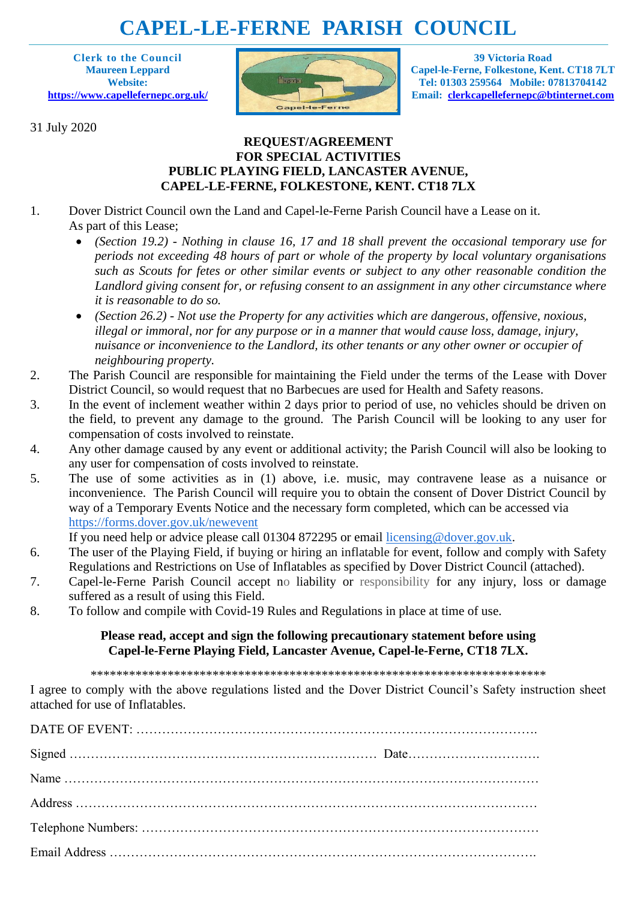# **CAPEL-LE-FERNE PARISH COUNCIL**

**Clerk to the Council Maureen Leppard Website: <https://www.capellefernepc.org.uk/>**

31 July 2020



**39 Victoria Road Capel-le-Ferne, Folkestone, Kent. CT18 7LT Tel: 01303 259564 Mobile: 07813704142 Email: [clerkcapellefernepc@btinternet.com](mailto:clerkcapellefernepc@btinternet.com)**

## **REQUEST/AGREEMENT FOR SPECIAL ACTIVITIES PUBLIC PLAYING FIELD, LANCASTER AVENUE, CAPEL-LE-FERNE, FOLKESTONE, KENT. CT18 7LX**

- 1. Dover District Council own the Land and Capel-le-Ferne Parish Council have a Lease on it. As part of this Lease;
	- *(Section 19.2) - Nothing in clause 16, 17 and 18 shall prevent the occasional temporary use for periods not exceeding 48 hours of part or whole of the property by local voluntary organisations such as Scouts for fetes or other similar events or subject to any other reasonable condition the Landlord giving consent for, or refusing consent to an assignment in any other circumstance where it is reasonable to do so.*
	- *(Section 26.2) - Not use the Property for any activities which are dangerous, offensive, noxious, illegal or immoral, nor for any purpose or in a manner that would cause loss, damage, injury, nuisance or inconvenience to the Landlord, its other tenants or any other owner or occupier of neighbouring property.*
- 2. The Parish Council are responsible for maintaining the Field under the terms of the Lease with Dover District Council, so would request that no Barbecues are used for Health and Safety reasons.
- 3. In the event of inclement weather within 2 days prior to period of use, no vehicles should be driven on the field, to prevent any damage to the ground. The Parish Council will be looking to any user for compensation of costs involved to reinstate.
- 4. Any other damage caused by any event or additional activity; the Parish Council will also be looking to any user for compensation of costs involved to reinstate.
- 5. The use of some activities as in (1) above, i.e. music, may contravene lease as a nuisance or inconvenience. The Parish Council will require you to obtain the consent of Dover District Council by way of a Temporary Events Notice and the necessary form completed, which can be accessed via <https://forms.dover.gov.uk/newevent>

If you need help or advice please call 01304 872295 or email [licensing@dover.gov.uk.](mailto:licensing@dover.gov.uk)

- 6. The user of the Playing Field, if buying or hiring an inflatable for event, follow and comply with Safety Regulations and Restrictions on Use of Inflatables as specified by Dover District Council (attached).
- 7. Capel-le-Ferne Parish Council accept no liability or responsibility for any injury, loss or damage suffered as a result of using this Field.
- 8. To follow and compile with Covid-19 Rules and Regulations in place at time of use.

## **Please read, accept and sign the following precautionary statement before using Capel-le-Ferne Playing Field, Lancaster Avenue, Capel-le-Ferne, CT18 7LX.**

\*\*\*\*\*\*\*\*\*\*\*\*\*\*\*\*\*\*\*\*\*\*\*\*\*\*\*\*\*\*\*\*\*\*\*\*\*\*\*\*\*\*\*\*\*\*\*\*\*\*\*\*\*\*\*\*\*\*\*\*\*\*\*\*\*\*\*\*\*\*\*

I agree to comply with the above regulations listed and the Dover District Council's Safety instruction sheet attached for use of Inflatables.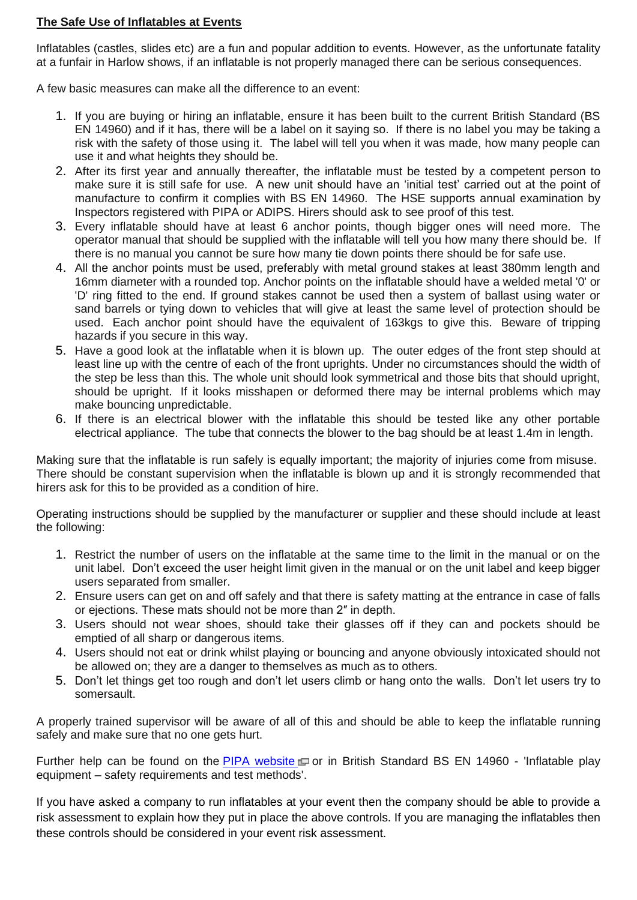## **The Safe Use of Inflatables at Events**

Inflatables (castles, slides etc) are a fun and popular addition to events. However, as the unfortunate fatality at a funfair in Harlow shows, if an inflatable is not properly managed there can be serious consequences.

A few basic measures can make all the difference to an event:

- 1. If you are buying or hiring an inflatable, ensure it has been built to the current British Standard (BS EN 14960) and if it has, there will be a label on it saying so. If there is no label you may be taking a risk with the safety of those using it. The label will tell you when it was made, how many people can use it and what heights they should be.
- 2. After its first year and annually thereafter, the inflatable must be tested by a competent person to make sure it is still safe for use. A new unit should have an 'initial test' carried out at the point of manufacture to confirm it complies with BS EN 14960. The HSE supports annual examination by Inspectors registered with PIPA or ADIPS. Hirers should ask to see proof of this test.
- 3. Every inflatable should have at least 6 anchor points, though bigger ones will need more. The operator manual that should be supplied with the inflatable will tell you how many there should be. If there is no manual you cannot be sure how many tie down points there should be for safe use.
- 4. All the anchor points must be used, preferably with metal ground stakes at least 380mm length and 16mm diameter with a rounded top. Anchor points on the inflatable should have a welded metal '0' or 'D' ring fitted to the end. If ground stakes cannot be used then a system of ballast using water or sand barrels or tying down to vehicles that will give at least the same level of protection should be used. Each anchor point should have the equivalent of 163kgs to give this. Beware of tripping hazards if you secure in this way.
- 5. Have a good look at the inflatable when it is blown up. The outer edges of the front step should at least line up with the centre of each of the front uprights. Under no circumstances should the width of the step be less than this. The whole unit should look symmetrical and those bits that should upright, should be upright. If it looks misshapen or deformed there may be internal problems which may make bouncing unpredictable.
- 6. If there is an electrical blower with the inflatable this should be tested like any other portable electrical appliance. The tube that connects the blower to the bag should be at least 1.4m in length.

Making sure that the inflatable is run safely is equally important; the majority of injuries come from misuse. There should be constant supervision when the inflatable is blown up and it is strongly recommended that hirers ask for this to be provided as a condition of hire.

Operating instructions should be supplied by the manufacturer or supplier and these should include at least the following:

- 1. Restrict the number of users on the inflatable at the same time to the limit in the manual or on the unit label. Don't exceed the user height limit given in the manual or on the unit label and keep bigger users separated from smaller.
- 2. Ensure users can get on and off safely and that there is safety matting at the entrance in case of falls or ejections. These mats should not be more than 2″ in depth.
- 3. Users should not wear shoes, should take their glasses off if they can and pockets should be emptied of all sharp or dangerous items.
- 4. Users should not eat or drink whilst playing or bouncing and anyone obviously intoxicated should not be allowed on; they are a danger to themselves as much as to others.
- 5. Don't let things get too rough and don't let users climb or hang onto the walls. Don't let users try to somersault.

A properly trained supervisor will be aware of all of this and should be able to keep the inflatable running safely and make sure that no one gets hurt.

Further help can be found on the PIPA [website](http://www.pipa.org.uk/)  $\Box$  or in British Standard BS EN 14960 - 'Inflatable play equipment – safety requirements and test methods'.

If you have asked a company to run inflatables at your event then the company should be able to provide a risk assessment to explain how they put in place the above controls. If you are managing the inflatables then these controls should be considered in your event risk assessment.